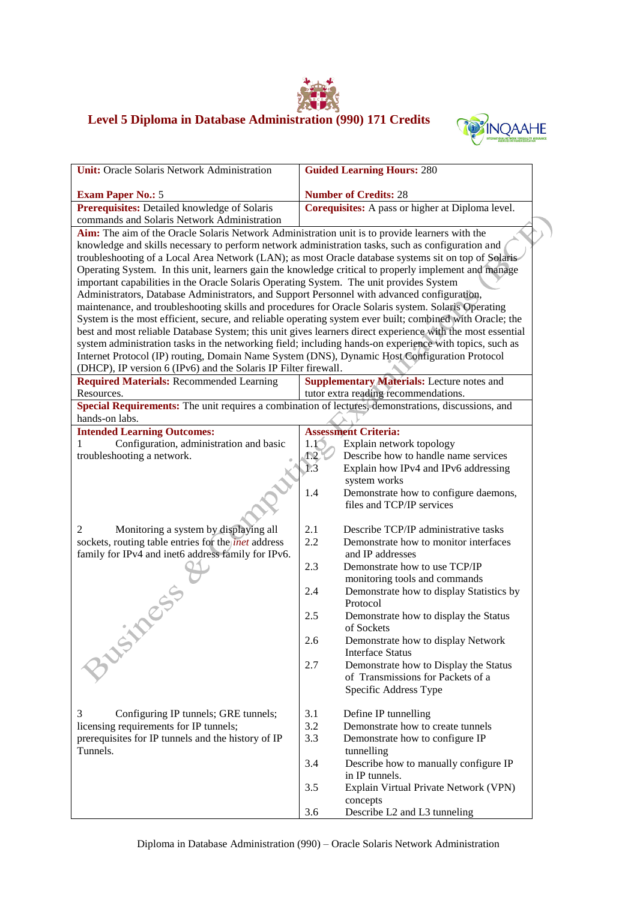

## **Level 5 Diploma in Database Administration (990) 171 Credits**



|                                                                                                                                                                                        | <b>Guided Learning Hours: 280</b>                                                                                                                          |  |  |  |
|----------------------------------------------------------------------------------------------------------------------------------------------------------------------------------------|------------------------------------------------------------------------------------------------------------------------------------------------------------|--|--|--|
|                                                                                                                                                                                        |                                                                                                                                                            |  |  |  |
|                                                                                                                                                                                        | <b>Number of Credits: 28</b><br>Corequisites: A pass or higher at Diploma level.                                                                           |  |  |  |
|                                                                                                                                                                                        |                                                                                                                                                            |  |  |  |
|                                                                                                                                                                                        | Aim: The aim of the Oracle Solaris Network Administration unit is to provide learners with the                                                             |  |  |  |
|                                                                                                                                                                                        | knowledge and skills necessary to perform network administration tasks, such as configuration and                                                          |  |  |  |
|                                                                                                                                                                                        | troubleshooting of a Local Area Network (LAN); as most Oracle database systems sit on top of Solaris                                                       |  |  |  |
|                                                                                                                                                                                        | Operating System. In this unit, learners gain the knowledge critical to properly implement and manage                                                      |  |  |  |
|                                                                                                                                                                                        |                                                                                                                                                            |  |  |  |
| important capabilities in the Oracle Solaris Operating System. The unit provides System<br>Administrators, Database Administrators, and Support Personnel with advanced configuration, |                                                                                                                                                            |  |  |  |
|                                                                                                                                                                                        | maintenance, and troubleshooting skills and procedures for Oracle Solaris system. Solaris Operating                                                        |  |  |  |
|                                                                                                                                                                                        | System is the most efficient, secure, and reliable operating system ever built; combined with Oracle; the                                                  |  |  |  |
|                                                                                                                                                                                        | best and most reliable Database System; this unit gives learners direct experience with the most essential                                                 |  |  |  |
|                                                                                                                                                                                        | system administration tasks in the networking field; including hands-on experience with topics, such as                                                    |  |  |  |
|                                                                                                                                                                                        | Internet Protocol (IP) routing, Domain Name System (DNS), Dynamic Host Configuration Protocol                                                              |  |  |  |
|                                                                                                                                                                                        |                                                                                                                                                            |  |  |  |
|                                                                                                                                                                                        | Supplementary Materials: Lecture notes and                                                                                                                 |  |  |  |
|                                                                                                                                                                                        | tutor extra reading recommendations.                                                                                                                       |  |  |  |
|                                                                                                                                                                                        | Special Requirements: The unit requires a combination of lectures, demonstrations, discussions, and                                                        |  |  |  |
|                                                                                                                                                                                        |                                                                                                                                                            |  |  |  |
|                                                                                                                                                                                        | <b>Assessment Criteria:</b>                                                                                                                                |  |  |  |
| $1.1^\circ$                                                                                                                                                                            | Explain network topology                                                                                                                                   |  |  |  |
| 1.2                                                                                                                                                                                    | Describe how to handle name services                                                                                                                       |  |  |  |
| 1.3                                                                                                                                                                                    | Explain how IPv4 and IPv6 addressing                                                                                                                       |  |  |  |
|                                                                                                                                                                                        | system works                                                                                                                                               |  |  |  |
| 1.4                                                                                                                                                                                    | Demonstrate how to configure daemons,                                                                                                                      |  |  |  |
|                                                                                                                                                                                        | files and TCP/IP services                                                                                                                                  |  |  |  |
|                                                                                                                                                                                        |                                                                                                                                                            |  |  |  |
|                                                                                                                                                                                        | Describe TCP/IP administrative tasks                                                                                                                       |  |  |  |
|                                                                                                                                                                                        | Demonstrate how to monitor interfaces                                                                                                                      |  |  |  |
|                                                                                                                                                                                        | and IP addresses                                                                                                                                           |  |  |  |
|                                                                                                                                                                                        | Demonstrate how to use TCP/IP                                                                                                                              |  |  |  |
|                                                                                                                                                                                        | monitoring tools and commands                                                                                                                              |  |  |  |
|                                                                                                                                                                                        | Demonstrate how to display Statistics by                                                                                                                   |  |  |  |
|                                                                                                                                                                                        | Protocol                                                                                                                                                   |  |  |  |
|                                                                                                                                                                                        | Demonstrate how to display the Status                                                                                                                      |  |  |  |
|                                                                                                                                                                                        | of Sockets                                                                                                                                                 |  |  |  |
|                                                                                                                                                                                        | Demonstrate how to display Network                                                                                                                         |  |  |  |
|                                                                                                                                                                                        | <b>Interface Status</b>                                                                                                                                    |  |  |  |
|                                                                                                                                                                                        | Demonstrate how to Display the Status                                                                                                                      |  |  |  |
|                                                                                                                                                                                        | of Transmissions for Packets of a                                                                                                                          |  |  |  |
|                                                                                                                                                                                        | Specific Address Type                                                                                                                                      |  |  |  |
|                                                                                                                                                                                        | Define IP tunnelling                                                                                                                                       |  |  |  |
|                                                                                                                                                                                        | Demonstrate how to create tunnels                                                                                                                          |  |  |  |
|                                                                                                                                                                                        | Demonstrate how to configure IP                                                                                                                            |  |  |  |
|                                                                                                                                                                                        | tunnelling                                                                                                                                                 |  |  |  |
|                                                                                                                                                                                        | Describe how to manually configure IP                                                                                                                      |  |  |  |
|                                                                                                                                                                                        | in IP tunnels.                                                                                                                                             |  |  |  |
|                                                                                                                                                                                        | Explain Virtual Private Network (VPN)                                                                                                                      |  |  |  |
|                                                                                                                                                                                        | concepts                                                                                                                                                   |  |  |  |
|                                                                                                                                                                                        | Describe L2 and L3 tunneling                                                                                                                               |  |  |  |
|                                                                                                                                                                                        | (DHCP), IP version 6 (IPv6) and the Solaris IP Filter firewall.<br>2.1<br>2.2<br>2.3<br>2.4<br>2.5<br>2.6<br>2.7<br>3.1<br>3.2<br>3.3<br>3.4<br>3.5<br>3.6 |  |  |  |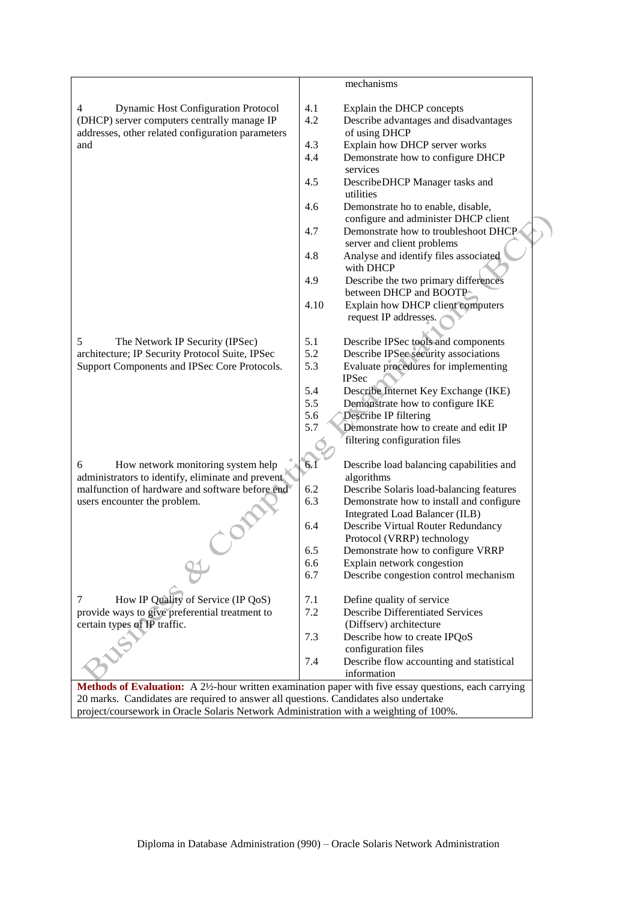|                                                                                                     |      | mechanisms                               |  |
|-----------------------------------------------------------------------------------------------------|------|------------------------------------------|--|
|                                                                                                     |      |                                          |  |
| <b>Dynamic Host Configuration Protocol</b><br>4                                                     | 4.1  | Explain the DHCP concepts                |  |
| (DHCP) server computers centrally manage IP                                                         | 4.2  | Describe advantages and disadvantages    |  |
| addresses, other related configuration parameters                                                   |      | of using DHCP                            |  |
| and                                                                                                 | 4.3  | Explain how DHCP server works            |  |
|                                                                                                     | 4.4  | Demonstrate how to configure DHCP        |  |
|                                                                                                     |      | services                                 |  |
|                                                                                                     | 4.5  | DescribeDHCP Manager tasks and           |  |
|                                                                                                     |      | utilities                                |  |
|                                                                                                     | 4.6  | Demonstrate ho to enable, disable,       |  |
|                                                                                                     |      | configure and administer DHCP client     |  |
|                                                                                                     | 4.7  | Demonstrate how to troubleshoot DHCP     |  |
|                                                                                                     |      | server and client problems               |  |
|                                                                                                     | 4.8  | Analyse and identify files associated    |  |
|                                                                                                     |      | with DHCP                                |  |
|                                                                                                     | 4.9  | Describe the two primary differences     |  |
|                                                                                                     |      | between DHCP and BOOTP                   |  |
|                                                                                                     | 4.10 | Explain how DHCP client computers        |  |
|                                                                                                     |      |                                          |  |
|                                                                                                     |      | request IP addresses.                    |  |
|                                                                                                     |      |                                          |  |
| 5<br>The Network IP Security (IPSec)                                                                | 5.1  | Describe IPSec tools and components      |  |
| architecture; IP Security Protocol Suite, IPSec                                                     | 5.2  | Describe IPSec security associations     |  |
| Support Components and IPSec Core Protocols.                                                        | 5.3  | Evaluate procedures for implementing     |  |
|                                                                                                     |      | <b>IPSec</b>                             |  |
|                                                                                                     | 5.4  | Describe Internet Key Exchange (IKE)     |  |
|                                                                                                     | 5.5  | Demonstrate how to configure IKE         |  |
|                                                                                                     | 5.6  | Describe IP filtering                    |  |
|                                                                                                     | 5.7  | Demonstrate how to create and edit IP    |  |
|                                                                                                     |      | filtering configuration files            |  |
|                                                                                                     |      |                                          |  |
| How network monitoring system help<br>6                                                             | 6.1  | Describe load balancing capabilities and |  |
| administrators to identify, eliminate and prevent                                                   |      | algorithms                               |  |
| malfunction of hardware and software before end                                                     | 6.2  | Describe Solaris load-balancing features |  |
| users encounter the problem.                                                                        | 6.3  | Demonstrate how to install and configure |  |
|                                                                                                     |      | Integrated Load Balancer (ILB)           |  |
|                                                                                                     | 6.4  | Describe Virtual Router Redundancy       |  |
|                                                                                                     |      | Protocol (VRRP) technology               |  |
|                                                                                                     | 6.5  | Demonstrate how to configure VRRP        |  |
|                                                                                                     | 6.6  | Explain network congestion               |  |
|                                                                                                     | 6.7  | Describe congestion control mechanism    |  |
|                                                                                                     |      |                                          |  |
| How IP Quality of Service (IP QoS)<br>7                                                             | 7.1  | Define quality of service                |  |
| provide ways to give preferential treatment to                                                      | 7.2  | <b>Describe Differentiated Services</b>  |  |
| certain types of IP traffic.                                                                        |      | (Diffserv) architecture                  |  |
|                                                                                                     | 7.3  | Describe how to create IPQoS             |  |
|                                                                                                     |      | configuration files                      |  |
|                                                                                                     | 7.4  | Describe flow accounting and statistical |  |
|                                                                                                     |      | information                              |  |
| Methods of Evaluation: A 2½-hour written examination paper with five essay questions, each carrying |      |                                          |  |
| 20 marks. Candidates are required to answer all questions. Candidates also undertake                |      |                                          |  |
|                                                                                                     |      |                                          |  |

project/coursework in Oracle Solaris Network Administration with a weighting of 100%.